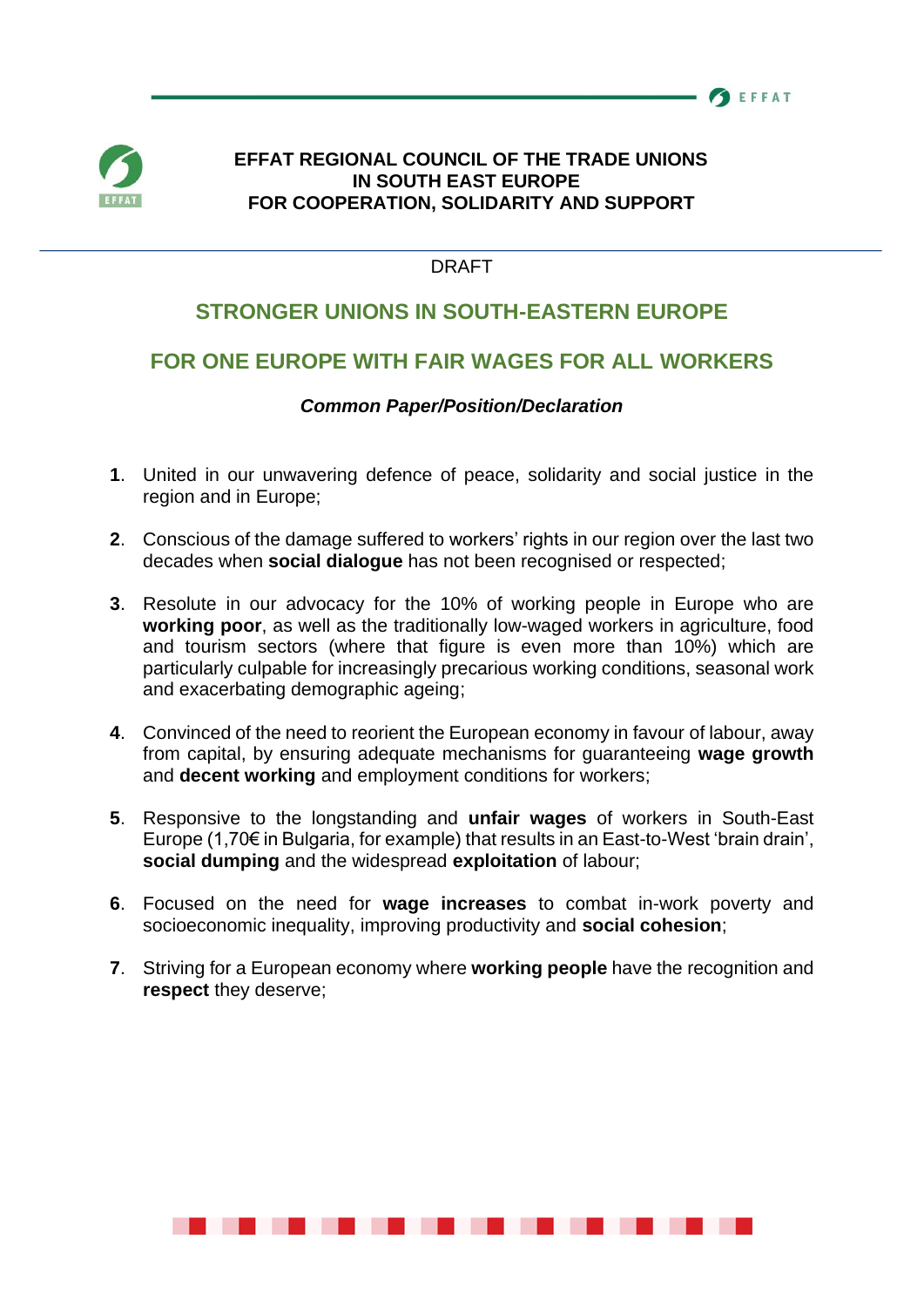



## **EFFAT REGIONAL COUNCIL OF THE TRADE UNIONS IN SOUTH EAST EUROPE FOR COOPERATION, SOLIDARITY AND SUPPORT**

## DRAFT

# **STRONGER UNIONS IN SOUTH-EASTERN EUROPE**

# **FOR ONE EUROPE WITH FAIR WAGES FOR ALL WORKERS**

## *Common Paper/Position/Declaration*

- **1**. United in our unwavering defence of peace, solidarity and social justice in the region and in Europe;
- **2**. Conscious of the damage suffered to workers' rights in our region over the last two decades when **social dialogue** has not been recognised or respected;
- **3**. Resolute in our advocacy for the 10% of working people in Europe who are **working poor**, as well as the traditionally low-waged workers in agriculture, food and tourism sectors (where that figure is even more than 10%) which are particularly culpable for increasingly precarious working conditions, seasonal work and exacerbating demographic ageing;
- **4**. Convinced of the need to reorient the European economy in favour of labour, away from capital, by ensuring adequate mechanisms for guaranteeing **wage growth** and **decent working** and employment conditions for workers;
- **5**. Responsive to the longstanding and **unfair wages** of workers in South-East Europe (1,70€ in Bulgaria, for example) that results in an East-to-West 'brain drain', **social dumping** and the widespread **exploitation** of labour;
- **6**. Focused on the need for **wage increases** to combat in-work poverty and socioeconomic inequality, improving productivity and **social cohesion**;
- **7**. Striving for a European economy where **working people** have the recognition and **respect** they deserve;